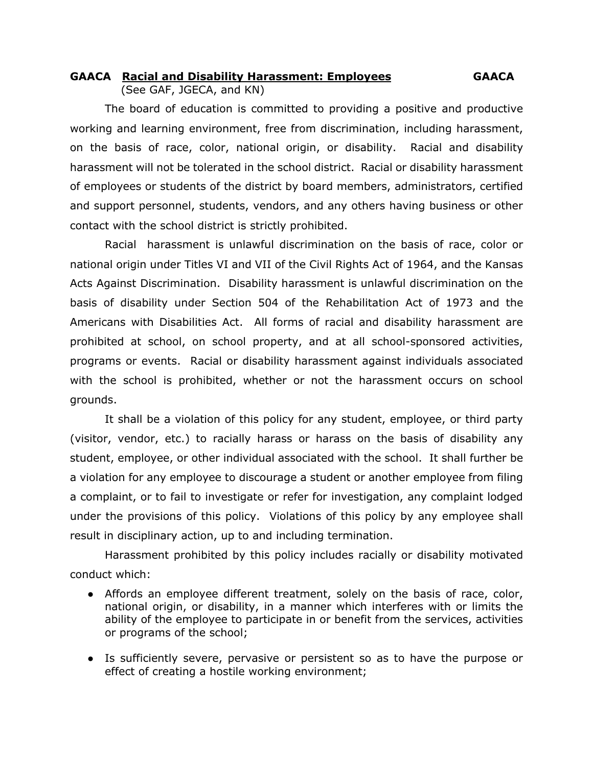## **GAACA Racial and Disability Harassment: Employees GAACA** (See GAF, JGECA, and KN)

The board of education is committed to providing a positive and productive working and learning environment, free from discrimination, including harassment, on the basis of race, color, national origin, or disability. Racial and disability harassment will not be tolerated in the school district. Racial or disability harassment of employees or students of the district by board members, administrators, certified and support personnel, students, vendors, and any others having business or other contact with the school district is strictly prohibited.

Racial harassment is unlawful discrimination on the basis of race, color or national origin under Titles VI and VII of the Civil Rights Act of 1964, and the Kansas Acts Against Discrimination. Disability harassment is unlawful discrimination on the basis of disability under Section 504 of the Rehabilitation Act of 1973 and the Americans with Disabilities Act. All forms of racial and disability harassment are prohibited at school, on school property, and at all school-sponsored activities, programs or events. Racial or disability harassment against individuals associated with the school is prohibited, whether or not the harassment occurs on school grounds.

It shall be a violation of this policy for any student, employee, or third party (visitor, vendor, etc.) to racially harass or harass on the basis of disability any student, employee, or other individual associated with the school. It shall further be a violation for any employee to discourage a student or another employee from filing a complaint, or to fail to investigate or refer for investigation, any complaint lodged under the provisions of this policy. Violations of this policy by any employee shall result in disciplinary action, up to and including termination.

Harassment prohibited by this policy includes racially or disability motivated conduct which:

- Affords an employee different treatment, solely on the basis of race, color, national origin, or disability, in a manner which interferes with or limits the ability of the employee to participate in or benefit from the services, activities or programs of the school;
- Is sufficiently severe, pervasive or persistent so as to have the purpose or effect of creating a hostile working environment;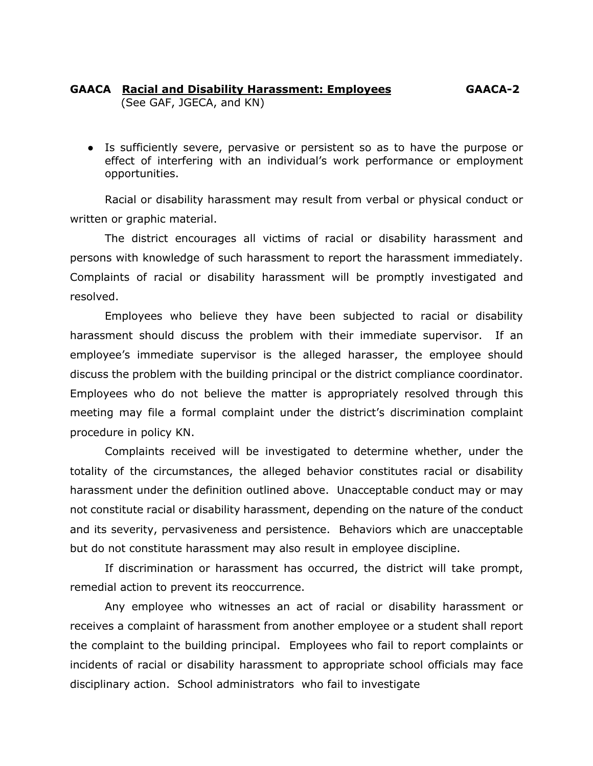## **GAACA Racial and Disability Harassment: Employees GAACA-2** (See GAF, JGECA, and KN)

● Is sufficiently severe, pervasive or persistent so as to have the purpose or effect of interfering with an individual's work performance or employment opportunities.

Racial or disability harassment may result from verbal or physical conduct or written or graphic material.

The district encourages all victims of racial or disability harassment and persons with knowledge of such harassment to report the harassment immediately. Complaints of racial or disability harassment will be promptly investigated and resolved.

Employees who believe they have been subjected to racial or disability harassment should discuss the problem with their immediate supervisor. If an employee's immediate supervisor is the alleged harasser, the employee should discuss the problem with the building principal or the district compliance coordinator. Employees who do not believe the matter is appropriately resolved through this meeting may file a formal complaint under the district's discrimination complaint procedure in policy KN.

Complaints received will be investigated to determine whether, under the totality of the circumstances, the alleged behavior constitutes racial or disability harassment under the definition outlined above. Unacceptable conduct may or may not constitute racial or disability harassment, depending on the nature of the conduct and its severity, pervasiveness and persistence. Behaviors which are unacceptable but do not constitute harassment may also result in employee discipline.

If discrimination or harassment has occurred, the district will take prompt, remedial action to prevent its reoccurrence.

Any employee who witnesses an act of racial or disability harassment or receives a complaint of harassment from another employee or a student shall report the complaint to the building principal. Employees who fail to report complaints or incidents of racial or disability harassment to appropriate school officials may face disciplinary action. School administrators who fail to investigate